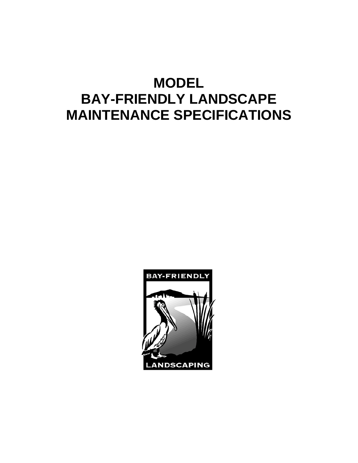# **MODEL BAY-FRIENDLY LANDSCAPE MAINTENANCE SPECIFICATIONS**

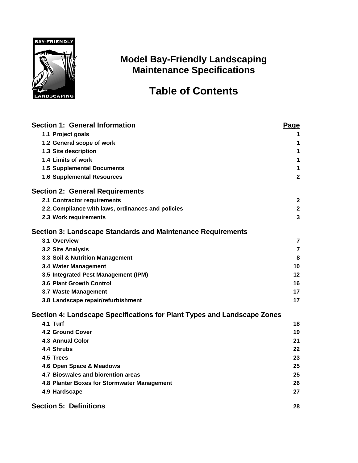

## **Model Bay-Friendly Landscaping Maintenance Specifications**

## **Table of Contents**

| <b>Section 1: General Information</b>                                   |                |  |
|-------------------------------------------------------------------------|----------------|--|
| 1.1 Project goals                                                       | 1              |  |
| 1.2 General scope of work                                               | 1              |  |
| 1.3 Site description                                                    | 1              |  |
| 1.4 Limits of work                                                      | 1              |  |
| <b>1.5 Supplemental Documents</b>                                       | 1              |  |
| <b>1.6 Supplemental Resources</b>                                       | $\mathbf{2}$   |  |
| <b>Section 2: General Requirements</b>                                  |                |  |
| 2.1 Contractor requirements                                             | $\mathbf{2}$   |  |
| 2.2. Compliance with laws, ordinances and policies                      | $\mathbf 2$    |  |
| 2.3 Work requirements                                                   | 3              |  |
| Section 3: Landscape Standards and Maintenance Requirements             |                |  |
| 3.1 Overview                                                            | $\overline{7}$ |  |
| 3.2 Site Analysis                                                       | $\overline{7}$ |  |
| 3.3 Soil & Nutrition Management                                         | 8              |  |
| 3.4 Water Management                                                    | 10             |  |
| 3.5 Integrated Pest Management (IPM)                                    | 12             |  |
| 3.6 Plant Growth Control                                                | 16             |  |
| 3.7 Waste Management                                                    | 17             |  |
| 3.8 Landscape repair/refurbishment                                      | 17             |  |
| Section 4: Landscape Specifications for Plant Types and Landscape Zones |                |  |
| 4.1 Turf                                                                | 18             |  |
| <b>4.2 Ground Cover</b>                                                 | 19             |  |
| 4.3 Annual Color                                                        | 21             |  |
| 4.4 Shrubs                                                              | 22             |  |
| 4.5 Trees                                                               | 23             |  |
| 4.6 Open Space & Meadows                                                | 25             |  |
| 4.7 Bioswales and biorention areas                                      | 25             |  |
| 4.8 Planter Boxes for Stormwater Management                             | 26             |  |
| 4.9 Hardscape                                                           | 27             |  |
| <b>Section 5: Definitions</b>                                           | 28             |  |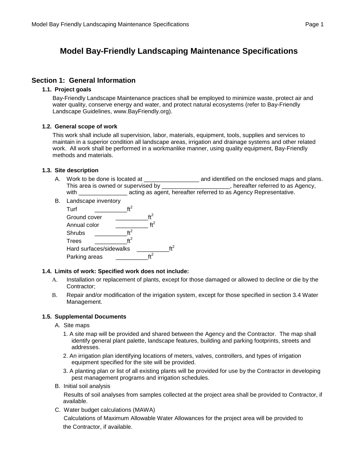## **Model Bay-Friendly Landscaping Maintenance Specifications**

#### **Section 1: General Information**

#### **1.1. Project goals**

Bay-Friendly Landscape Maintenance practices shall be employed to minimize waste, protect air and water quality, conserve energy and water, and protect natural ecosystems (refer to Bay-Friendly Landscape Guidelines, www.BayFriendly.org).

#### **1.2. General scope of work**

This work shall include all supervision, labor, materials, equipment, tools, supplies and services to maintain in a superior condition all landscape areas, irrigation and drainage systems and other related work. All work shall be performed in a workmanlike manner, using quality equipment, Bay-Friendly methods and materials.

#### **1.3. Site description**

- A. Work to be done is located at \_\_\_\_\_\_\_\_\_\_\_\_\_\_\_\_\_ and identified on the enclosed maps and plans. This area is owned or supervised by \_\_\_\_\_\_\_\_\_\_\_\_\_\_\_\_\_\_\_\_\_, hereafter referred to as Agency, with \_\_\_\_\_\_\_\_\_\_\_\_\_\_\_\_\_\_\_\_\_ acting as agent, hereafter referred to as Agency Representative.
- B. Landscape inventory Turf  $\text{ft}^2$ Ground cover  $\text{ft}^2$ Annual color  $\frac{1}{\sqrt{t^2}}$  ft<sup>2</sup> Shrubs  $\frac{ft^2}{1}$ Trees Hard surfaces/sidewalks  $\text{ft}^2$ Parking areas

#### **1.4. Limits of work: Specified work does not include:**

- A. Installation or replacement of plants, except for those damaged or allowed to decline or die by the Contractor;
- B. Repair and/or modification of the irrigation system, except for those specified in section 3.4 Water Management.

#### **1.5. Supplemental Documents**

- A. Site maps
	- 1. A site map will be provided and shared between the Agency and the Contractor. The map shall identify general plant palette, landscape features, building and parking footprints, streets and addresses.
	- 2. An irrigation plan identifying locations of meters, valves, controllers, and types of irrigation equipment specified for the site will be provided.
	- 3. A planting plan or list of all existing plants will be provided for use by the Contractor in developing pest management programs and irrigation schedules.
- B. Initial soil analysis

Results of soil analyses from samples collected at the project area shall be provided to Contractor, if available.

C. Water budget calculations (MAWA)

Calculations of Maximum Allowable Water Allowances for the project area will be provided to the Contractor, if available.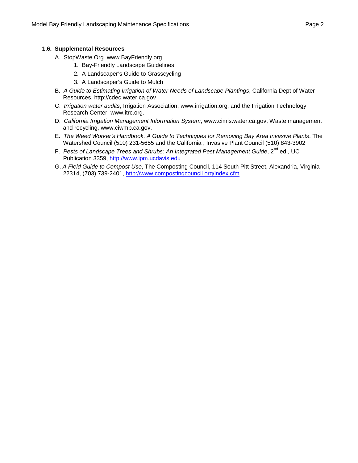#### **1.6. Supplemental Resources**

- A. StopWaste.Org www.BayFriendly.org
	- 1. Bay-Friendly Landscape Guidelines
		- 2. A Landscaper's Guide to Grasscycling
		- 3. A Landscaper's Guide to Mulch
- B. *A Guide to Estimating Irrigation of Water Needs of Landscape Plantings*, California Dept of Water Resources, [http://cdec.water.ca.gov](http://cdec.water.ca.gov/)
- C. *Irrigation water audits*, Irrigation Association, [www.irrigation.org,](http://www.irrigation.org/) and the Irrigation Technology Research Center, [www.itrc.org.](http://www.itrc.org/)
- D. *California Irrigation Management Information System*, [www.cimis.water.ca.gov,](http://www.cimis.water.ca.gov/) Waste management and recycling, [www.ciwmb.ca.gov.](http://www.ciwmb.ca.gov/)
- E. *The Weed Worker's Handbook, A Guide to Techniques for Removing Bay Area Invasive Plants*, The Watershed Council (510) 231-5655 and the California , Invasive Plant Council (510) 843-3902
- F. Pests of Landscape Trees and Shrubs: An Integrated Pest Management Guide, 2<sup>nd</sup> ed., UC Publication 3359, [http://www.ipm.ucdavis.edu](http://www.ipm.ucdavis.edu/)
- G. *A Field Guide to Compost Use*, The Composting Council, 114 South Pitt Street, Alexandria, Virginia 22314, (703) 739-2401, <http://www.compostingcouncil.org/index.cfm>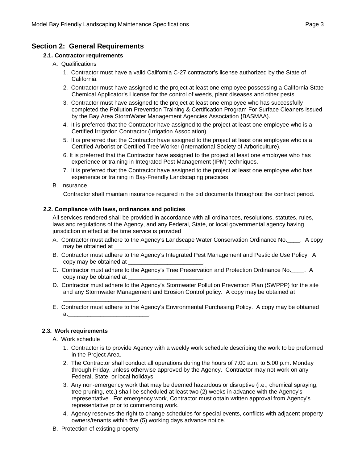#### **Section 2: General Requirements**

#### **2.1. Contractor requirements**

- A. Qualifications
	- 1. Contractor must have a valid California C-27 contractor's license authorized by the State of California.
	- 2. Contractor must have assigned to the project at least one employee possessing a California State Chemical Applicator's License for the control of weeds, plant diseases and other pests.
	- 3. Contractor must have assigned to the project at least one employee who has successfully completed the Pollution Prevention Training & Certification Program For Surface Cleaners issued by the Bay Area StormWater Management Agencies Association **(**BASMAA).
	- 4. It is preferred that the Contractor have assigned to the project at least one employee who is a Certified Irrigation Contractor (Irrigation Association).
	- 5. It is preferred that the Contractor have assigned to the project at least one employee who is a Certified Arborist or Certified Tree Worker (International Society of Arboriculture).
	- 6. It is preferred that the Contractor have assigned to the project at least one employee who has experience or training in Integrated Pest Management (IPM) techniques.
	- 7. It is preferred that the Contractor have assigned to the project at least one employee who has experience or training in Bay-Friendly Landscaping practices.

#### B. Insurance

Contractor shall maintain insurance required in the bid documents throughout the contract period.

#### **2.2. Compliance with laws, ordinances and policies**

\_\_\_\_\_\_\_\_\_\_\_\_\_\_\_\_\_\_\_\_\_\_\_.

All services rendered shall be provided in accordance with all ordinances, resolutions, statutes, rules, laws and regulations of the Agency, and any Federal, State, or local governmental agency having jurisdiction in effect at the time service is provided

- A. Contractor must adhere to the Agency's Landscape Water Conservation Ordinance No. A copy may be obtained at \_\_
- B. Contractor must adhere to the Agency's Integrated Pest Management and Pesticide Use Policy. A copy may be obtained at \_\_\_\_\_\_\_\_\_\_\_\_\_\_\_\_\_\_\_\_\_\_\_.
- C. Contractor must adhere to the Agency's Tree Preservation and Protection Ordinance No. \_\_\_\_. A copy may be obtained at \_\_\_\_\_\_\_\_\_\_\_\_\_\_\_\_\_\_\_\_\_\_\_.
- D. Contractor must adhere to the Agency's Stormwater Pollution Prevention Plan (SWPPP) for the site and any Stormwater Management and Erosion Control policy. A copy may be obtained at
- E. Contractor must adhere to the Agency's Environmental Purchasing Policy. A copy may be obtained at\_\_\_\_\_\_\_\_\_\_\_\_\_\_\_\_\_\_\_\_\_\_\_\_\_.

#### **2.3. Work requirements**

A. Work schedule

- 1. Contractor is to provide Agency with a weekly work schedule describing the work to be preformed in the Project Area.
- 2. The Contractor shall conduct all operations during the hours of 7:00 a.m. to 5:00 p.m. Monday through Friday, unless otherwise approved by the Agency. Contractor may not work on any Federal, State, or local holidays.
- 3. Any non-emergency work that may be deemed hazardous or disruptive (i.e., chemical spraying, tree pruning, etc.) shall be scheduled at least two (2) weeks in advance with the Agency's representative. For emergency work, Contractor must obtain written approval from Agency's representative prior to commencing work.
- 4. Agency reserves the right to change schedules for special events, conflicts with adjacent property owners/tenants within five (5) working days advance notice.
- B. Protection of existing property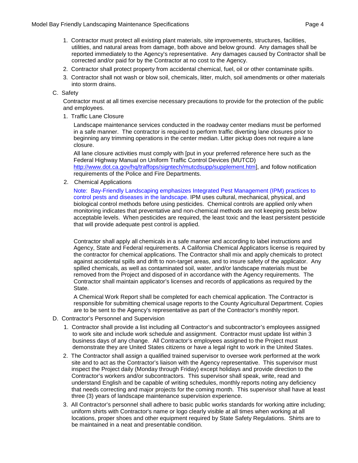- 
- 1. Contractor must protect all existing plant materials, site improvements, structures, facilities, utilities, and natural areas from damage, both above and below ground. Any damages shall be reported immediately to the Agency's representative. Any damages caused by Contractor shall be corrected and/or paid for by the Contractor at no cost to the Agency.
- 2. Contractor shall protect property from accidental chemical, fuel, oil or other contaminate spills.
- 3. Contractor shall not wash or blow soil, chemicals, litter, mulch, soil amendments or other materials into storm drains.

#### C. Safety

Contractor must at all times exercise necessary precautions to provide for the protection of the public and employees.

1. Traffic Lane Closure

Landscape maintenance services conducted in the roadway center medians must be performed in a safe manner. The contractor is required to perform traffic diverting lane closures prior to beginning any trimming operations in the center median. Litter pickup does not require a lane closure.

All lane closure activities must comply with [put in your preferred reference here such as the Federal Highway Manual on Uniform Traffic Control Devices (MUTCD) [http://www.dot.ca.gov/hq/traffops/signtech/mutcdsupp/supplement.htm\]](http://www.dot.ca.gov/hq/traffops/signtech/mutcdsupp/supplement.htm), and follow notification requirements of the Police and Fire Departments.

2. Chemical Applications

Note: Bay-Friendly Landscaping emphasizes Integrated Pest Management (IPM) practices to control pests and diseases in the landscape. IPM uses cultural, mechanical, physical, and biological control methods before using pesticides. Chemical controls are applied only when monitoring indicates that preventative and non-chemical methods are not keeping pests below acceptable levels. When pesticides are required, the least toxic and the least persistent pesticide that will provide adequate pest control is applied.

Contractor shall apply all chemicals in a safe manner and according to label instructions and Agency, State and Federal requirements. A California Chemical Applicators license is required by the contractor for chemical applications. The Contractor shall mix and apply chemicals to protect against accidental spills and drift to non-target areas, and to insure safety of the applicator. Any spilled chemicals, as well as contaminated soil, water, and/or landscape materials must be removed from the Project and disposed of in accordance with the Agency requirements. The Contractor shall maintain applicator's licenses and records of applications as required by the State.

A Chemical Work Report shall be completed for each chemical application. The Contractor is responsible for submitting chemical usage reports to the County Agricultural Department. Copies are to be sent to the Agency's representative as part of the Contractor's monthly report.

- D. Contractor's Personnel and Supervision
	- 1. Contractor shall provide a list including all Contractor's and subcontractor's employees assigned to work site and include work schedule and assignment. Contractor must update list within 3 business days of any change. All Contractor's employees assigned to the Project must demonstrate they are United States citizens or have a legal right to work in the United States.
	- 2. The Contractor shall assign a qualified trained supervisor to oversee work performed at the work site and to act as the Contractor's liaison with the Agency representative. This supervisor must inspect the Project daily (Monday through Friday) except holidays and provide direction to the Contractor's workers and/or subcontractors. This supervisor shall speak, write, read and understand English and be capable of writing schedules, monthly reports noting any deficiency that needs correcting and major projects for the coming month. This supervisor shall have at least three (3) years of landscape maintenance supervision experience.
	- 3. All Contractor's personnel shall adhere to basic public works standards for working attire including; uniform shirts with Contractor's name or logo clearly visible at all times when working at all locations, proper shoes and other equipment required by State Safety Regulations. Shirts are to be maintained in a neat and presentable condition.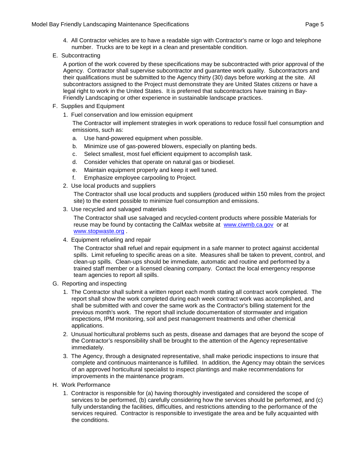- 4. All Contractor vehicles are to have a readable sign with Contractor's name or logo and telephone number. Trucks are to be kept in a clean and presentable condition.
- E. Subcontracting

A portion of the work covered by these specifications may be subcontracted with prior approval of the Agency. Contractor shall supervise subcontractor and guarantee work quality. Subcontractors and their qualifications must be submitted to the Agency thirty (30) days before working at the site. All subcontractors assigned to the Project must demonstrate they are United States citizens or have a legal right to work in the United States. It is preferred that subcontractors have training in Bay-Friendly Landscaping or other experience in sustainable landscape practices.

- F. Supplies and Equipment
	- 1. Fuel conservation and low emission equipment

The Contractor will implement strategies in work operations to reduce fossil fuel consumption and emissions, such as:

- a. Use hand-powered equipment when possible.
- b. Minimize use of gas-powered blowers, especially on planting beds.
- c. Select smallest, most fuel efficient equipment to accomplish task.
- d. Consider vehicles that operate on natural gas or biodiesel.
- e. Maintain equipment properly and keep it well tuned.
- f. Emphasize employee carpooling to Project.
- 2. Use local products and suppliers

The Contractor shall use local products and suppliers (produced within 150 miles from the project site) to the extent possible to minimize fuel consumption and emissions.

3. Use recycled and salvaged materials

The Contractor shall use salvaged and recycled-content products where possible Materials for reuse may be found by contacting the CalMax website at [www.ciwmb.ca.gov](http://www.ciwmb.ca.gov/) or at [www.stopwaste.org](http://www.stopwaste.org/) .

4. Equipment refueling and repair

The Contractor shall refuel and repair equipment in a safe manner to protect against accidental spills. Limit refueling to specific areas on a site. Measures shall be taken to prevent, control, and clean-up spills. Clean-ups should be immediate, automatic and routine and performed by a trained staff member or a licensed cleaning company. Contact the local emergency response team agencies to report all spills.

- G. Reporting and inspecting
	- 1. The Contractor shall submit a written report each month stating all contract work completed. The report shall show the work completed during each week contract work was accomplished, and shall be submitted with and cover the same work as the Contractor's billing statement for the previous month's work. The report shall include documentation of stormwater and irrigation inspections, IPM monitoring, soil and pest management treatments and other chemical applications.
	- 2. Unusual horticultural problems such as pests, disease and damages that are beyond the scope of the Contractor's responsibility shall be brought to the attention of the Agency representative immediately.
	- 3. The Agency, through a designated representative, shall make periodic inspections to insure that complete and continuous maintenance is fulfilled. In addition, the Agency may obtain the services of an approved horticultural specialist to inspect plantings and make recommendations for improvements in the maintenance program.
- H. Work Performance
	- 1. Contractor is responsible for (a) having thoroughly investigated and considered the scope of services to be performed, (b) carefully considering how the services should be performed, and (c) fully understanding the facilities, difficulties, and restrictions attending to the performance of the services required. Contractor is responsible to investigate the area and be fully acquainted with the conditions.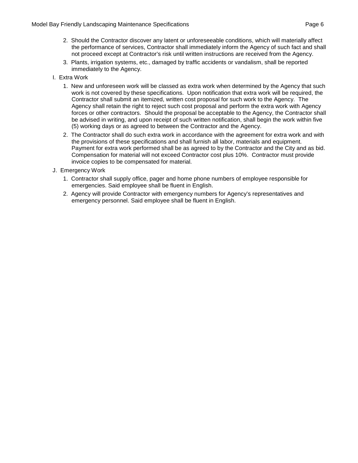- 2. Should the Contractor discover any latent or unforeseeable conditions, which will materially affect the performance of services, Contractor shall immediately inform the Agency of such fact and shall not proceed except at Contractor's risk until written instructions are received from the Agency.
- 3. Plants, irrigation systems, etc., damaged by traffic accidents or vandalism, shall be reported immediately to the Agency.
- I. Extra Work
	- 1. New and unforeseen work will be classed as extra work when determined by the Agency that such work is not covered by these specifications. Upon notification that extra work will be required, the Contractor shall submit an itemized, written cost proposal for such work to the Agency. The Agency shall retain the right to reject such cost proposal and perform the extra work with Agency forces or other contractors. Should the proposal be acceptable to the Agency, the Contractor shall be advised in writing, and upon receipt of such written notification, shall begin the work within five (5) working days or as agreed to between the Contractor and the Agency.
	- 2. The Contractor shall do such extra work in accordance with the agreement for extra work and with the provisions of these specifications and shall furnish all labor, materials and equipment. Payment for extra work performed shall be as agreed to by the Contractor and the City and as bid. Compensation for material will not exceed Contractor cost plus 10%. Contractor must provide invoice copies to be compensated for material.
- J. Emergency Work
	- 1. Contractor shall supply office, pager and home phone numbers of employee responsible for emergencies. Said employee shall be fluent in English.
	- 2. Agency will provide Contractor with emergency numbers for Agency's representatives and emergency personnel. Said employee shall be fluent in English.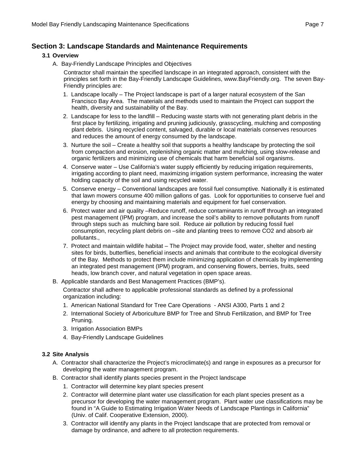#### **Section 3: Landscape Standards and Maintenance Requirements**

#### **3.1 Overview**

A. Bay-Friendly Landscape Principles and Objectives

Contractor shall maintain the specified landscape in an integrated approach, consistent with the principles set forth in the Bay-Friendly Landscape Guidelines, www.BayFriendly.org. The seven Bay-Friendly principles are:

- 1. Landscape locally The Project landscape is part of a larger natural ecosystem of the San Francisco Bay Area. The materials and methods used to maintain the Project can support the health, diversity and sustainability of the Bay.
- 2. Landscape for less to the landfill Reducing waste starts with not generating plant debris in the first place by fertilizing, irrigating and pruning judiciously, grasscycling, mulching and composting plant debris. Using recycled content, salvaged, durable or local materials conserves resources and reduces the amount of energy consumed by the landscape.
- 3. Nurture the soil Create a healthy soil that supports a healthy landscape by protecting the soil from compaction and erosion, replenishing organic matter and mulching, using slow-release and organic fertilizers and minimizing use of chemicals that harm beneficial soil organisms.
- 4. Conserve water Use California's water supply efficiently by reducing irrigation requirements, irrigating according to plant need, maximizing irrigation system performance, increasing the water holding capacity of the soil and using recycled water.
- 5. Conserve energy Conventional landscapes are fossil fuel consumptive. Nationally it is estimated that lawn mowers consume 400 million gallons of gas. Look for opportunities to conserve fuel and energy by choosing and maintaining materials and equipment for fuel conservation.
- 6. Protect water and air quality –Reduce runoff, reduce contaminants in runoff through an integrated pest management (IPM) program, and increase the soil's ability to remove pollutants from runoff through steps such as mulching bare soil. Reduce air pollution by reducing fossil fuel consumption, recycling plant debris on –site and planting trees to remove CO2 and absorb air pollutants.,
- 7. Protect and maintain wildlife habitat The Project may provide food, water, shelter and nesting sites for birds, butterflies, beneficial insects and animals that contribute to the ecological diversity of the Bay. Methods to protect them include minimizing application of chemicals by implementing an integrated pest management (IPM) program, and conserving flowers, berries, fruits, seed heads, low branch cover, and natural vegetation in open space areas.
- B. Applicable standards and Best Management Practices (BMP's).

Contractor shall adhere to applicable professional standards as defined by a professional organization including:

- 1. American National Standard for Tree Care Operations ANSI A300, Parts 1 and 2
- 2. International Society of Arboriculture BMP for Tree and Shrub Fertilization, and BMP for Tree Pruning.
- 3. Irrigation Association BMPs
- 4. Bay-Friendly Landscape Guidelines

#### **3.2 Site Analysis**

- A. Contractor shall characterize the Project's microclimate(s) and range in exposures as a precursor for developing the water management program.
- B. Contractor shall identify plants species present in the Project landscape
	- 1. Contractor will determine key plant species present
	- 2. Contractor will determine plant water use classification for each plant species present as a precursor for developing the water management program. Plant water use classifications may be found in "A Guide to Estimating Irrigation Water Needs of Landscape Plantings in California" (Univ. of Calif. Cooperative Extension, 2000).
	- 3. Contractor will identify any plants in the Project landscape that are protected from removal or damage by ordinance, and adhere to all protection requirements.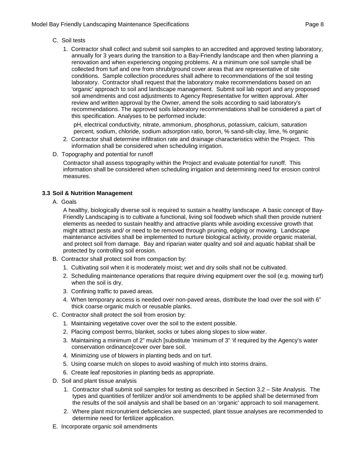- C. Soil tests
	- 1. Contractor shall collect and submit soil samples to an accredited and approved testing laboratory, annually for 3 years during the transition to a Bay-Friendly landscape and then when planning a renovation and when experiencing ongoing problems. At a minimum one soil sample shall be collected from turf and one from shrub/ground cover areas that are representative of site conditions. Sample collection procedures shall adhere to recommendations of the soil testing laboratory. Contractor shall request that the laboratory make recommendations based on an 'organic' approach to soil and landscape management. Submit soil lab report and any proposed soil amendments and cost adjustments to Agency Representative for written approval. After review and written approval by the Owner, amend the soils according to said laboratory's recommendations. The approved soils laboratory recommendations shall be considered a part of this specification. Analyses to be performed include:

pH, electrical conductivity, nitrate, ammonium, phosphorus, potassium, calcium, saturation percent, sodium, chloride, sodium adsorption ratio, boron, % sand-silt-clay, lime, % organic

- 2. Contractor shall determine infiltration rate and drainage characteristics within the Project. This information shall be considered when scheduling irrigation.
- D. Topography and potential for runoff

Contractor shall assess topography within the Project and evaluate potential for runoff. This information shall be considered when scheduling irrigation and determining need for erosion control measures.

#### **3.3 Soil & Nutrition Management**

A. Goals

A healthy, biologically diverse soil is required to sustain a healthy landscape. A basic concept of Bay-Friendly Landscaping is to cultivate a functional, living soil foodweb which shall then provide nutrient elements as needed to sustain healthy and attractive plants while avoiding excessive growth that might attract pests and/ or need to be removed through pruning, edging or mowing. Landscape maintenance activities shall be implemented to nurture biological activity, provide organic material, and protect soil from damage. Bay and riparian water quality and soil and aquatic habitat shall be protected by controlling soil erosion.

- B. Contractor shall protect soil from compaction by:
	- 1. Cultivating soil when it is moderately moist; wet and dry soils shall not be cultivated.
	- 2. Scheduling maintenance operations that require driving equipment over the soil (e.g. mowing turf) when the soil is dry.
	- 3. Confining traffic to paved areas.
	- 4. When temporary access is needed over non-paved areas, distribute the load over the soil with 6" thick coarse organic mulch or reusable planks.
- C. Contractor shall protect the soil from erosion by:
	- 1. Maintaining vegetative cover over the soil to the extent possible.
	- 2. Placing compost berms, blanket, socks or tubes along slopes to slow water.
	- 3. Maintaining a minimum of 2" mulch [substitute 'minimum of 3" 'if required by the Agency's water conservation ordinance]cover over bare soil.
	- 4. Minimizing use of blowers in planting beds and on turf.
	- 5. Using coarse mulch on slopes to avoid washing of mulch into storms drains.
	- 6. Create leaf repositories in planting beds as appropriate.
- D. Soil and plant tissue analysis
	- 1. Contractor shall submit soil samples for testing as described in Section 3.2 Site Analysis. The types and quantities of fertilizer and/or soil amendments to be applied shall be determined from the results of the soil analysis and shall be based on an 'organic' approach to soil management.
	- 2. Where plant micronutrient deficiencies are suspected, plant tissue analyses are recommended to determine need for fertilizer application.
- E. Incorporate organic soil amendments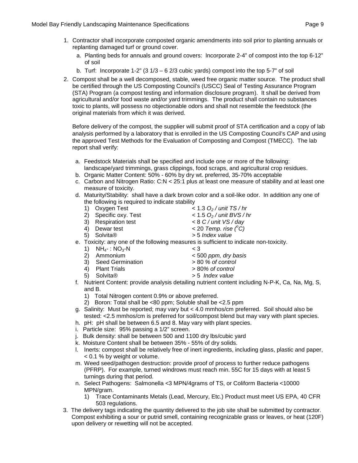- 1. Contractor shall incorporate composted organic amendments into soil prior to planting annuals or replanting damaged turf or ground cover.
	- a. Planting beds for annuals and ground covers: Incorporate 2-4" of compost into the top 6-12" of soil
	- b. Turf: Incorporate 1-2" (3  $1/3 6$   $2/3$  cubic yards) compost into the top 5-7" of soil
- 2. Compost shall be a well decomposed, stable, weed free organic matter source. The product shall be certified through the US Composting Council's (USCC) Seal of Testing Assurance Program (STA) Program (a compost testing and information disclosure program). It shall be derived from agricultural and/or food waste and/or yard trimmings. The product shall contain no substances toxic to plants, will possess no objectionable odors and shall not resemble the feedstock (the original materials from which it was derived.

Before delivery of the compost, the supplier will submit proof of STA certification and a copy of lab analysis performed by a laboratory that is enrolled in the US Composting Council's CAP and using the approved Test Methods for the Evaluation of Composting and Compost (TMECC). The lab report shall verify:

- a. Feedstock Materials shall be specified and include one or more of the following: landscape/yard trimmings, grass clippings, food scraps, and agricultural crop residues.
- b. Organic Matter Content: 50% 60% by dry wt. preferred, 35-70% acceptable
- c. Carbon and Nitrogen Ratio: C:N < 25:1 plus at least one measure of stability and at least one measure of toxicity.
- d. Maturity/Stability: shall have a dark brown color and a soil-like odor. In addition any one of the following is required to indicate stability<br>1) Oxygen Test 1) Oxygen Test < 1.3 *O2 / unit TS / hr*
	-
	-
	- 2) Specific oxy. Test < 1.5 *O<sub>2</sub> / unit BVS /* 3) Respiration test < 8 *C / unit VS / day* 3) Respiration test<br>4) Dewar test
	-
	- 4) Dewar test  $\langle ^oC\rangle$
	- 5) Solvita® > 5 *Index value*
- e. Toxicity: any one of the following measures is sufficient to indicate non-toxicity.
	- 1)  $NH_{4} : NO_{3} N$  < 3<br>2) Ammonium < 50
	-
	- 3) Seed Germination > 80 *% of control*
- 2) Ammonium < 500 *ppm, dry basis*
	-
	-
	-
	- 4) Plant Trials > 80*% of control* 5) Solvita® > 5 *Index value*
- f. Nutrient Content: provide analysis detailing nutrient content including N-P-K, Ca, Na, Mg, S, and B.
	- 1) Total Nitrogen content 0.9% or above preferred.
	- 2) Boron: Total shall be <80 ppm; Soluble shall be <2.5 ppm
- g. Salinity: Must be reported; may vary but < 4.0 mmhos/cm preferred. Soil should also be tested: <2.5 mmhos/cm is preferred for soil/compost blend but may vary with plant species.
- h. pH: pH shall be between 6.5 and 8. May vary with plant species.
- i. Particle size: 95% passing a 1/2" screen.
- j. Bulk density: shall be between 500 and 1100 dry lbs/cubic yard
- k. Moisture Content shall be between 35% 55% of dry solids.
- l. Inerts: compost shall be relatively free of inert ingredients, including glass, plastic and paper, < 0.1 % by weight or volume.
- m. Weed seed/pathogen destruction: provide proof of process to further reduce pathogens (PFRP). For example, turned windrows must reach min. 55C for 15 days with at least 5 turnings during that period.
- n. Select Pathogens: Salmonella <3 MPN/4grams of TS, or Coliform Bacteria <10000 MPN/gram.
	- 1) Trace Contaminants Metals (Lead, Mercury, Etc.) Product must meet US EPA, 40 CFR 503 regulations.
- 3. The delivery tags indicating the quantity delivered to the job site shall be submitted by contractor. Compost exhibiting a sour or putrid smell, containing recognizable grass or leaves, or heat (120F) upon delivery or rewetting will not be accepted.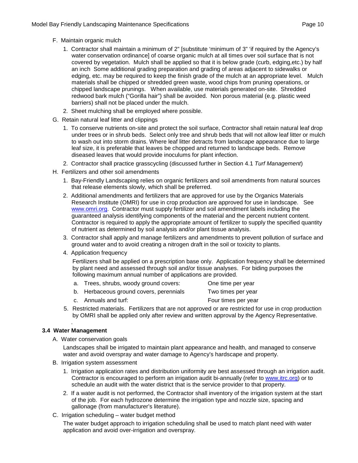- F. Maintain organic mulch
	- 1. Contractor shall maintain a minimum of 2" [substitute 'minimum of 3" 'if required by the Agency's water conservation ordinance] of coarse organic mulch at all times over soil surface that is not covered by vegetation. Mulch shall be applied so that it is below grade (curb, edging,etc.) by half an inch Some additional grading preparation and grading of areas adjacent to sidewalks or edging, etc. may be required to keep the finish grade of the mulch at an appropriate level. Mulch materials shall be chipped or shredded green waste, wood chips from pruning operations, or chipped landscape prunings. When available, use materials generated on-site. Shredded redwood bark mulch ("Gorilla hair") shall be avoided. Non porous material (e.g. plastic weed barriers) shall not be placed under the mulch.
	- 2. Sheet mulching shall be employed where possible.
- G. Retain natural leaf litter and clippings
	- 1. To conserve nutrients on-site and protect the soil surface, Contractor shall retain natural leaf drop under trees or in shrub beds. Select only tree and shrub beds that will not allow leaf litter or mulch to wash out into storm drains. Where leaf litter detracts from landscape appearance due to large leaf size, it is preferable that leaves be chopped and returned to landscape beds. Remove diseased leaves that would provide inoculums for plant infection.
	- 2. Contractor shall practice grasscycling (discussed further in Section 4.1 *Turf Management*)
- H. Fertilizers and other soil amendments
	- 1. Bay-Friendly Landscaping relies on organic fertilizers and soil amendments from natural sources that release elements slowly, which shall be preferred.
	- 2. Additional amendments and fertilizers that are approved for use by the Organics Materials Research Institute (OMRI) for use in crop production are approved for use in landscape. See [www.omri.org.](http://www.omri.org/) Contractor must supply fertilizer and soil amendment labels including the guaranteed analysis identifying components of the material and the percent nutrient content. Contractor is required to apply the appropriate amount of fertilizer to supply the specified quantity of nutrient as determined by soil analysis and/or plant tissue analysis.
	- 3. Contractor shall apply and manage fertilizers and amendments to prevent pollution of surface and ground water and to avoid creating a nitrogen draft in the soil or toxicity to plants.
	- 4. Application frequency

Fertilizers shall be applied on a prescription base only. Application frequency shall be determined by plant need and assessed through soil and/or tissue analyses. For biding purposes the following maximum annual number of applications are provided.

| a. Trees, shrubs, woody ground covers:  | One time per year   |
|-----------------------------------------|---------------------|
| b. Herbaceous ground covers, perennials | Two times per year  |
| c. Annuals and turf:                    | Four times per year |

5. Restricted materials. Fertilizers that are not approved or are restricted for use in crop production by OMRI shall be applied only after review and written approval by the Agency Representative.

#### . **3.4 Water Management**

A. Water conservation goals

Landscapes shall be irrigated to maintain plant appearance and health, and managed to conserve water and avoid overspray and water damage to Agency's hardscape and property.

- B. Irrigation system assessment
	- 1. Irrigation application rates and distribution uniformity are best assessed through an irrigation audit. Contractor is encouraged to perform an irrigation audit bi-annually (refer to [www.itrc.org\)](http://www.itrc.org/) or to schedule an audit with the water district that is the service provider to that property.
	- 2. If a water audit is not performed, the Contractor shall inventory of the irrigation system at the start of the job. For each hydrozone determine the irrigation type and nozzle size, spacing and gallonage (from manufacturer's literature).
- C. Irrigation scheduling water budget method

The water budget approach to irrigation scheduling shall be used to match plant need with water application and avoid over-irrigation and overspray.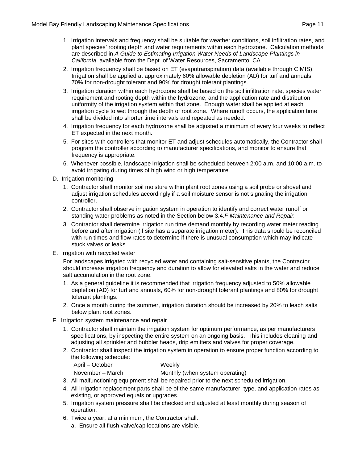- 1. Irrigation intervals and frequency shall be suitable for weather conditions, soil infiltration rates, and plant species' rooting depth and water requirements within each hydrozone. Calculation methods are described in *A Guide to Estimating Irrigation Water Needs of Landscape Plantings in California*, available from the Dept. of Water Resources, Sacramento, CA.
- 2. Irrigation frequency shall be based on ET (evapotranspiration) data (available through CIMIS). Irrigation shall be applied at approximately 60% allowable depletion (AD) for turf and annuals, 70% for non-drought tolerant and 90% for drought tolerant plantings.
- 3. Irrigation duration within each hydrozone shall be based on the soil infiltration rate, species water requirement and rooting depth within the hydrozone, and the application rate and distribution uniformity of the irrigation system within that zone. Enough water shall be applied at each irrigation cycle to wet through the depth of root zone. Where runoff occurs, the application time shall be divided into shorter time intervals and repeated as needed.
- 4. Irrigation frequency for each hydrozone shall be adjusted a minimum of every four weeks to reflect ET expected in the next month.
- 5. For sites with controllers that monitor ET and adjust schedules automatically, the Contractor shall program the controller according to manufacturer specifications, and monitor to ensure that frequency is appropriate.
- 6. Whenever possible, landscape irrigation shall be scheduled between 2:00 a.m. and 10:00 a.m. to avoid irrigating during times of high wind or high temperature.
- D. Irrigation monitoring
	- 1. Contractor shall monitor soil moisture within plant root zones using a soil probe or shovel and adjust irrigation schedules accordingly if a soil moisture sensor is not signaling the irrigation controller.
	- 2. Contractor shall observe irrigation system in operation to identify and correct water runoff or standing water problems as noted in the Section below 3.4.*F Maintenance and Repair.*
	- 3. Contractor shall determine irrigation run time demand monthly by recording water meter reading before and after irrigation (if site has a separate irrigation meter). This data should be reconciled with run times and flow rates to determine if there is unusual consumption which may indicate stuck valves or leaks.
- E. Irrigation with recycled water

For landscapes irrigated with recycled water and containing salt-sensitive plants, the Contractor should increase irrigation frequency and duration to allow for elevated salts in the water and reduce salt accumulation in the root zone.

- 1. As a general guideline it is recommended that irrigation frequency adjusted to 50% allowable depletion (AD) for turf and annuals, 60% for non-drought tolerant plantings and 80% for drought tolerant plantings.
- 2. Once a month during the summer, irrigation duration should be increased by 20% to leach salts below plant root zones.
- F. Irrigation system maintenance and repair
	- 1. Contractor shall maintain the irrigation system for optimum performance, as per manufacturers specifications, by inspecting the entire system on an ongoing basis. This includes cleaning and adjusting all sprinkler and bubbler heads, drip emitters and valves for proper coverage.
	- 2. Contractor shall inspect the irrigation system in operation to ensure proper function according to the following schedule:

April – October Weekly

November – March Monthly (when system operating)

- 3. All malfunctioning equipment shall be repaired prior to the next scheduled irrigation.
- 4. All irrigation replacement parts shall be of the same manufacturer, type, and application rates as existing, or approved equals or upgrades.
- 5. Irrigation system pressure shall be checked and adjusted at least monthly during season of operation.
- 6. Twice a year, at a minimum, the Contractor shall:
	- a. Ensure all flush valve/cap locations are visible.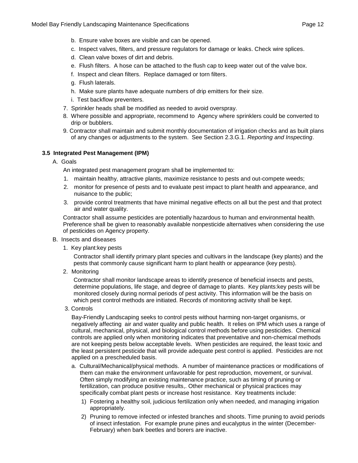- b. Ensure valve boxes are visible and can be opened.
- c. Inspect valves, filters, and pressure regulators for damage or leaks. Check wire splices.
- d. Clean valve boxes of dirt and debris.
- e. Flush filters. A hose can be attached to the flush cap to keep water out of the valve box.
- f. Inspect and clean filters. Replace damaged or torn filters.
- g. Flush laterals.
- h. Make sure plants have adequate numbers of drip emitters for their size.
- i. Test backflow preventers.
- 7. Sprinkler heads shall be modified as needed to avoid overspray.
- 8. Where possible and appropriate, recommend to Agency where sprinklers could be converted to drip or bubblers.
- 9. Contractor shall maintain and submit monthly documentation of irrigation checks and as built plans of any changes or adjustments to the system. See Section 2.3.G.1. *Reporting and Inspecting*.

#### **3.5 Integrated Pest Management (IPM)**

#### A. Goals

An integrated pest management program shall be implemented to:

- 1. maintain healthy, attractive plants, maximize resistance to pests and out-compete weeds;
- 2. monitor for presence of pests and to evaluate pest impact to plant health and appearance, and nuisance to the public;
- 3. provide control treatments that have minimal negative effects on all but the pest and that protect air and water quality.

Contractor shall assume pesticides are potentially hazardous to human and environmental health. Preference shall be given to reasonably available nonpesticide alternatives when considering the use of pesticides on Agency property.

- B. Insects and diseases
	- 1. Key plant:key pests

Contractor shall identify primary plant species and cultivars in the landscape (key plants) and the pests that commonly cause significant harm to plant health or appearance (key pests).

2. Monitoring

Contractor shall monitor landscape areas to identify presence of beneficial insects and pests, determine populations, life stage, and degree of damage to plants. Key plants:key pests will be monitored closely during normal periods of pest activity. This information will be the basis on which pest control methods are initiated. Records of monitoring activity shall be kept.

3. Controls

Bay-Friendly Landscaping seeks to control pests without harming non-target organisms, or negatively affecting air and water quality and public health. It relies on IPM which uses a range of cultural, mechanical, physical, and biological control methods before using pesticides. Chemical controls are applied only when monitoring indicates that preventative and non-chemical methods are not keeping pests below acceptable levels. When pesticides are required, the least toxic and the least persistent pesticide that will provide adequate pest control is applied. Pesticides are not applied on a prescheduled basis.

- a. Cultural/Mechanical/physical methods. A number of maintenance practices or modifications of them can make the environment unfavorable for pest reproduction, movement, or survival. Often simply modifying an existing maintenance practice, such as timing of pruning or fertilization, can produce positive results,. Other mechanical or physical practices may specifically combat plant pests or increase host resistance. Key treatments include:
	- 1) Fostering a healthy soil, judicious fertilization only when needed, and managing irrigation appropriately.
	- 2) Pruning to remove infected or infested branches and shoots. Time pruning to avoid periods of insect infestation. For example prune pines and eucalyptus in the winter (December-February) when bark beetles and borers are inactive.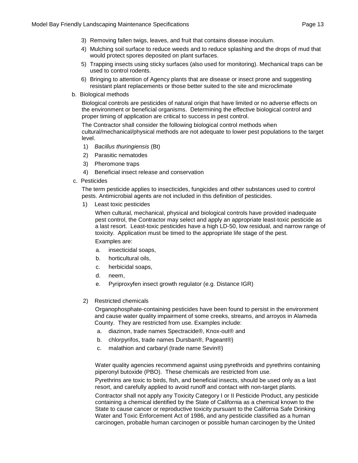- 3) Removing fallen twigs, leaves, and fruit that contains disease inoculum.
- 4) Mulching soil surface to reduce weeds and to reduce splashing and the drops of mud that would protect spores deposited on plant surfaces.
- 5) Trapping insects using sticky surfaces (also used for monitoring). Mechanical traps can be used to control rodents.
- 6) Bringing to attention of Agency plants that are disease or insect prone and suggesting resistant plant replacements or those better suited to the site and microclimate
- b. Biological methods

Biological controls are pesticides of natural origin that have limited or no adverse effects on the environment or beneficial organisms. Determining the effective biological control and proper timing of application are critical to success in pest control.

The Contractor shall consider the following biological control methods when cultural/mechanical/physical methods are not adequate to lower pest populations to the target level.

- 1) *Bacillus thuringiensis* (Bt)
- 2) Parasitic nematodes
- 3) Pheromone traps
- 4) Beneficial insect release and conservation
- c. Pesticides

The term pesticide applies to insecticides, fungicides and other substances used to control pests. Antimicrobial agents are not included in this definition of pesticides.

1) Least toxic pesticides

When cultural, mechanical, physical and biological controls have provided inadequate pest control, the Contractor may select and apply an appropriate least-toxic pesticide as a last resort. Least-toxic pesticides have a high LD-50, low residual, and narrow range of toxicity. Application must be timed to the appropriate life stage of the pest. Examples are:

- a. insecticidal soaps,
- b. horticultural oils,
- c. herbicidal soaps,
- d. neem,
- e. Pyriproxyfen insect growth regulator (e.g. Distance IGR)
- 2) Restricted chemicals

Organophosphate-containing pesticides have been found to persist in the environment and cause water quality impairment of some creeks, streams, and arroyos in Alameda County. They are restricted from use. Examples include:

- a. diazinon, trade names Spectracide®, Knox-out® and
- b. chlorpyrifos, trade names Dursban®, Pageant®)
- c. malathion and carbaryl (trade name Sevin®)

Water quality agencies recommend against using pyrethroids and pyrethrins containing piperonyl butoxide (PBO). These chemicals are restricted from use.

Pyrethrins are toxic to birds, fish, and beneficial insects, should be used only as a last resort, and carefully applied to avoid runoff and contact with non-target plants.

Contractor shall not apply any Toxicity Category I or II Pesticide Product, any pesticide containing a chemical identified by the State of California as a chemical known to the State to cause cancer or reproductive toxicity pursuant to the California Safe Drinking Water and Toxic Enforcement Act of 1986, and any pesticide classified as a human carcinogen, probable human carcinogen or possible human carcinogen by the United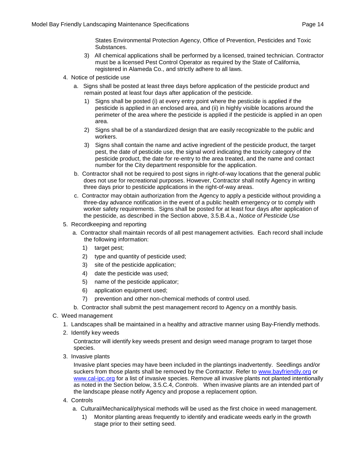States Environmental Protection Agency, Office of Prevention, Pesticides and Toxic Substances.

- 3) All chemical applications shall be performed by a licensed, trained technician. Contractor must be a licensed Pest Control Operator as required by the State of California, registered in Alameda Co., and strictly adhere to all laws.
- 4. Notice of pesticide use
	- a. Signs shall be posted at least three days before application of the pesticide product and remain posted at least four days after application of the pesticide.
		- 1) Signs shall be posted (i) at every entry point where the pesticide is applied if the pesticide is applied in an enclosed area, and (ii) in highly visible locations around the perimeter of the area where the pesticide is applied if the pesticide is applied in an open area.
		- 2) Signs shall be of a standardized design that are easily recognizable to the public and workers.
		- 3) Signs shall contain the name and active ingredient of the pesticide product, the target pest, the date of pesticide use, the signal word indicating the toxicity category of the pesticide product, the date for re-entry to the area treated, and the name and contact number for the City department responsible for the application.
	- b. Contractor shall not be required to post signs in right-of-way locations that the general public does not use for recreational purposes. However, Contractor shall notify Agency in writing three days prior to pesticide applications in the right-of-way areas.
	- c. Contractor may obtain authorization from the Agency to apply a pesticide without providing a three-day advance notification in the event of a public health emergency or to comply with worker safety requirements. Signs shall be posted for at least four days after application of the pesticide, as described in the Section above, 3.5.B.4.a., *Notice of Pesticide Use*
- 5. Recordkeeping and reporting
	- a. Contractor shall maintain records of all pest management activities. Each record shall include the following information:
		- 1) target pest;
		- 2) type and quantity of pesticide used;
		- 3) site of the pesticide application;
		- 4) date the pesticide was used;
		- 5) name of the pesticide applicator;
		- 6) application equipment used;
		- 7) prevention and other non-chemical methods of control used.

b. Contractor shall submit the pest management record to Agency on a monthly basis.

- C. Weed management
	- 1. Landscapes shall be maintained in a healthy and attractive manner using Bay-Friendly methods.
	- 2. Identify key weeds

Contractor will identify key weeds present and design weed manage program to target those species.

3. Invasive plants

Invasive plant species may have been included in the plantings inadvertently. Seedlings and/or suckers from those plants shall be removed by the Contractor. Refer to [www.bayfriendly.org](http://www.bayfriendly.org/) or [www.cal-ipc.org](http://www.cal-ipc.org/) for a list of invasive species. Remove all invasive plants not planted intentionally as noted in the Section below, 3.5.C.4, *Controls*. When invasive plants are an intended part of the landscape please notify Agency and propose a replacement option.

- 4. Controls
	- a. Cultural/Mechanical/physical methods will be used as the first choice in weed management.
		- 1) Monitor planting areas frequently to identify and eradicate weeds early in the growth stage prior to their setting seed.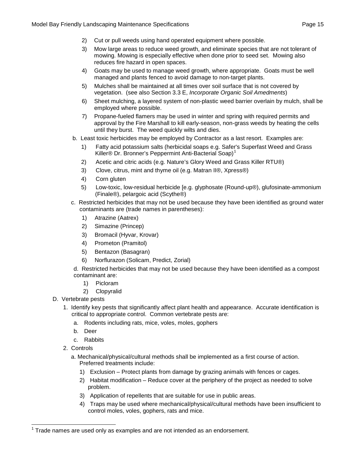- 2) Cut or pull weeds using hand operated equipment where possible.
- 3) Mow large areas to reduce weed growth, and eliminate species that are not tolerant of mowing. Mowing is especially effective when done prior to seed set. Mowing also reduces fire hazard in open spaces.
- 4) Goats may be used to manage weed growth, where appropriate. Goats must be well managed and plants fenced to avoid damage to non-target plants.
- 5) Mulches shall be maintained at all times over soil surface that is not covered by vegetation. (see also Section 3.3 E, *Incorporate Organic Soil Amedments*)
- 6) Sheet mulching, a layered system of non-plastic weed barrier overlain by mulch, shall be employed where possible.
- 7) Propane-fueled flamers may be used in winter and spring with required permits and approval by the Fire Marshall to kill early-season, non-grass weeds by heating the cells until they burst. The weed quickly wilts and dies.
- b. Least toxic herbicides may be employed by Contractor as a last resort. Examples are:
	- 1) Fatty acid potassium salts (herbicidal soaps e.g. Safer's Superfast Weed and Grass Killer® Dr. Bronner's Peppermint Anti-Bacterial Soap)<sup>[1](#page-16-0)</sup>
	- 2) Acetic and citric acids (e.g. Nature's Glory Weed and Grass Killer RTU®)
	- 3) Clove, citrus, mint and thyme oil (e.g. Matran II®, Xpress®)
	- 4) Corn gluten
	- 5) Low-toxic, low-residual herbicide [e.g. glyphosate (Round-up®), glufosinate-ammonium (Finale®), pelargoic acid (Scythe®)
- c. Restricted herbicides that may not be used because they have been identified as ground water contaminants are (trade names in parentheses):
	- 1) Atrazine (Aatrex)
	- 2) Simazine (Princep)
	- 3) Bromacil (Hyvar, Krovar)
	- 4) Prometon (Pramitol)
	- 5) Bentazon (Basagran)
	- 6) Norflurazon (Solicam, Predict, Zorial)

d. Restricted herbicides that may not be used because they have been identified as a compost contaminant are:

- 1) Picloram
- 2) Clopyralid
- D. Vertebrate pests
	- 1. Identify key pests that significantly affect plant health and appearance. Accurate identification is critical to appropriate control. Common vertebrate pests are:
		- a. Rodents including rats, mice, voles, moles, gophers
		- b. Deer
		- c. Rabbits
	- 2. Controls
		- a. Mechanical/physical/cultural methods shall be implemented as a first course of action. Preferred treatments include:
			- 1) Exclusion Protect plants from damage by grazing animals with fences or cages.
			- 2) Habitat modification Reduce cover at the periphery of the project as needed to solve problem.
			- 3) Application of repellents that are suitable for use in public areas.
			- 4) Traps may be used where mechanical/physical/cultural methods have been insufficient to control moles, voles, gophers, rats and mice.

<span id="page-16-0"></span> <sup>1</sup> Trade names are used only as examples and are not intended as an endorsement.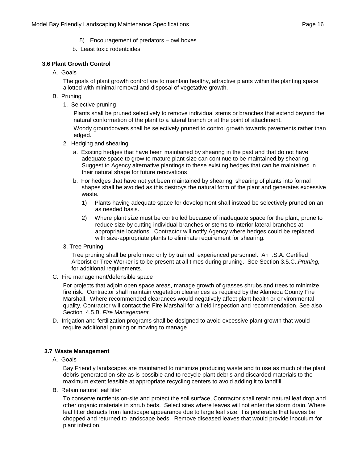- 5) Encouragement of predators owl boxes
- b. Least toxic rodentcides

#### **3.6 Plant Growth Control**

A. Goals

The goals of plant growth control are to maintain healthy, attractive plants within the planting space allotted with minimal removal and disposal of vegetative growth.

- B. Pruning
	- 1. Selective pruning

Plants shall be pruned selectively to remove individual stems or branches that extend beyond the natural conformation of the plant to a lateral branch or at the point of attachment.

Woody groundcovers shall be selectively pruned to control growth towards pavements rather than edged.

- 2. Hedging and shearing
	- a. Existing hedges that have been maintained by shearing in the past and that do not have adequate space to grow to mature plant size can continue to be maintained by shearing. Suggest to Agency alternative plantings to these existing hedges that can be maintained in their natural shape for future renovations
	- b. For hedges that have not yet been maintained by shearing: shearing of plants into formal shapes shall be avoided as this destroys the natural form of the plant and generates excessive waste.
		- 1) Plants having adequate space for development shall instead be selectively pruned on an as needed basis.
		- 2) Where plant size must be controlled because of inadequate space for the plant, prune to reduce size by cutting individual branches or stems to interior lateral branches at appropriate locations. Contractor will notify Agency where hedges could be replaced with size-appropriate plants to eliminate requirement for shearing.
- 3. Tree Pruning

Tree pruning shall be preformed only by trained, experienced personnel. An I.S.A. Certified Arborist or Tree Worker is to be present at all times during pruning. See Section 3.5.C.,*Pruning,* for additional requirements.

C. Fire management/defensible space

For projects that adjoin open space areas, manage growth of grasses shrubs and trees to minimize fire risk. Contractor shall maintain vegetation clearances as required by the Alameda County Fire Marshall. Where recommended clearances would negatively affect plant health or environmental quality, Contractor will contact the Fire Marshall for a field inspection and recommendation. See also Section 4.5.B. *Fire Management.*

D. Irrigation and fertilization programs shall be designed to avoid excessive plant growth that would require additional pruning or mowing to manage.

#### **3.7 Waste Management**

A. Goals

Bay Friendly landscapes are maintained to minimize producing waste and to use as much of the plant debris generated on-site as is possible and to recycle plant debris and discarded materials to the maximum extent feasible at appropriate recycling centers to avoid adding it to landfill.

B. Retain natural leaf litter

To conserve nutrients on-site and protect the soil surface, Contractor shall retain natural leaf drop and other organic materials in shrub beds. Select sites where leaves will not enter the storm drain. Where leaf litter detracts from landscape appearance due to large leaf size, it is preferable that leaves be chopped and returned to landscape beds. Remove diseased leaves that would provide inoculum for plant infection.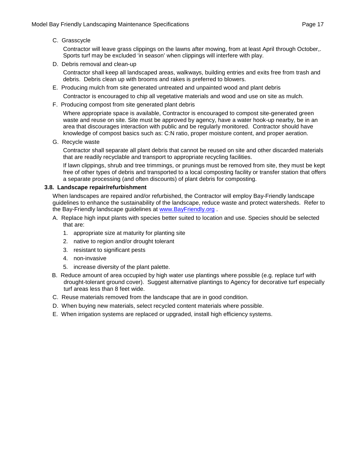#### C. Grasscycle

Contractor will leave grass clippings on the lawns after mowing, from at least April through October,. Sports turf may be excluded 'in season' when clippings will interfere with play.

D. Debris removal and clean-up

Contractor shall keep all landscaped areas, walkways, building entries and exits free from trash and debris. Debris clean up with brooms and rakes is preferred to blowers.

- E. Producing mulch from site generated untreated and unpainted wood and plant debris Contractor is encouraged to chip all vegetative materials and wood and use on site as mulch.
- F. Producing compost from site generated plant debris

Where appropriate space is available, Contractor is encouraged to compost site-generated green waste and reuse on site. Site must be approved by agency, have a water hook-up nearby, be in an area that discourages interaction with public and be regularly monitored. Contractor should have knowledge of compost basics such as: C:N ratio, proper moisture content, and proper aeration.

G. Recycle waste

Contractor shall separate all plant debris that cannot be reused on site and other discarded materials that are readily recyclable and transport to appropriate recycling facilities.

If lawn clippings, shrub and tree trimmings, or prunings must be removed from site, they must be kept free of other types of debris and transported to a local composting facility or transfer station that offers a separate processing (and often discounts) of plant debris for composting.

#### **3.8. Landscape repair/refurbishment**

When landscapes are repaired and/or refurbished, the Contractor will employ Bay-Friendly landscape guidelines to enhance the sustainability of the landscape, reduce waste and protect watersheds. Refer to the Bay-Friendly landscape guidelines at [www.BayFriendly.org](http://www.bayfriendly.org/).

- A. Replace high input plants with species better suited to location and use. Species should be selected that are:
	- 1. appropriate size at maturity for planting site
	- 2. native to region and/or drought tolerant
	- 3. resistant to significant pests
	- 4. non-invasive
	- 5. increase diversity of the plant palette.
- B. Reduce amount of area occupied by high water use plantings where possible (e.g. replace turf with drought-tolerant ground cover). Suggest alternative plantings to Agency for decorative turf especially turf areas less than 8 feet wide.
- C. Reuse materials removed from the landscape that are in good condition.
- D. When buying new materials, select recycled content materials where possible.
- E. When irrigation systems are replaced or upgraded, install high efficiency systems.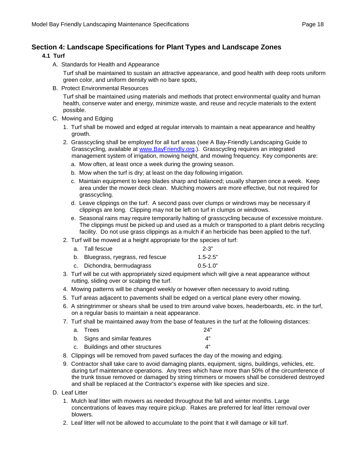### **Section 4: Landscape Specifications for Plant Types and Landscape Zones**

#### **4.1 Turf**

A. Standards for Health and Appearance

Turf shall be maintained to sustain an attractive appearance, and good health with deep roots uniform green color, and uniform density with no bare spots,

B. Protect Environmental Resources

Turf shall be maintained using materials and methods that protect environmental quality and human health, conserve water and energy, minimize waste, and reuse and recycle materials to the extent possible.

- C. Mowing and Edging
	- 1. Turf shall be mowed and edged at regular intervals to maintain a neat appearance and healthy growth.
	- 2. Grasscycling shall be employed for all turf areas (see A Bay-Friendly Landscaping Guide to Grasscycling, available at [www.BayFriendly.org.](http://www.stopwaste.org/)). Grasscycling requires an integrated management system of irrigation, mowing height, and mowing frequency. Key components are:
		- a. Mow often, at least once a week during the growing season.
		- b. Mow when the turf is dry; at least on the day following irrigation.
		- c. Maintain equipment to keep blades sharp and balanced; usually sharpen once a week. Keep area under the mower deck clean. Mulching mowers are more effective, but not required for grasscycling.
		- d. Leave clippings on the turf. A second pass over clumps or windrows may be necessary if clippings are long. Clipping may not be left on turf in clumps or windrows.
		- e. Seasonal rains may require temporarily halting of grasscycling because of excessive moisture. The clippings must be picked up and used as a mulch or transported to a plant debris recycling facility. Do not use grass clippings as a mulch if an herbicide has been applied to the turf.
	- 2. Turf will be mowed at a height appropriate for the species of turf:

| a. Tall fescue                     | $2 - 3"$     |
|------------------------------------|--------------|
| b. Bluegrass, ryegrass, red fescue | $1.5 - 2.5"$ |
| c. Dichondra, bermudagrass         | $0.5 - 1.0"$ |

- 3. Turf will be cut with appropriately sized equipment which will give a neat appearance without rutting, sliding over or scalping the turf.
- 4. Mowing patterns will be changed weekly or however often necessary to avoid rutting.
- 5. Turf areas adjacent to pavements shall be edged on a vertical plane every other mowing.
- 6. A stringtrimmer or shears shall be used to trim around valve boxes, headerboards, etc. in the turf, on a regular basis to maintain a neat appearance.
- 7. Turf shall be maintained away from the base of features in the turf at the following distances:

| a. Trees                          | 24" |
|-----------------------------------|-----|
| b. Signs and similar features     | 4"  |
| c. Buildings and other structures | Δ"  |

- 8. Clippings will be removed from paved surfaces the day of the mowing and edging.
- 9. Contractor shall take care to avoid damaging plants, equipment, signs, buildings, vehicles, etc. during turf maintenance operations. Any trees which have more than 50% of the circumference of the trunk tissue removed or damaged by string trimmers or mowers shall be considered destroyed and shall be replaced at the Contractor's expense with like species and size.
- D. Leaf Litter
	- 1. Mulch leaf litter with mowers as needed throughout the fall and winter months. Large concentrations of leaves may require pickup. Rakes are preferred for leaf litter removal over blowers.
	- 2. Leaf litter will not be allowed to accumulate to the point that it will damage or kill turf.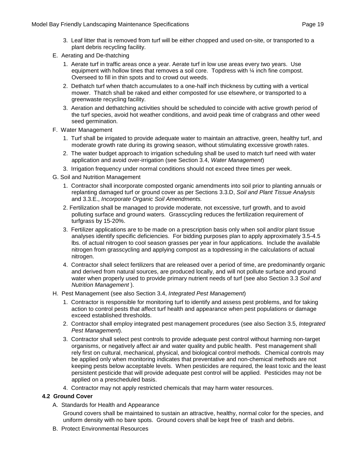- 3. Leaf litter that is removed from turf will be either chopped and used on-site, or transported to a plant debris recycling facility.
- E. Aerating and De-thatching
	- 1. Aerate turf in traffic areas once a year. Aerate turf in low use areas every two years. Use equipment with hollow tines that removes a soil core. Topdress with ¼ inch fine compost. Overseed to fill in thin spots and to crowd out weeds.
	- 2. Dethatch turf when thatch accumulates to a one-half inch thickness by cutting with a vertical mower. Thatch shall be raked and either composted for use elsewhere, or transported to a greenwaste recycling facility.
	- 3. Aeration and dethatching activities should be scheduled to coincide with active growth period of the turf species, avoid hot weather conditions, and avoid peak time of crabgrass and other weed seed germination.
- F. Water Management
	- 1. Turf shall be irrigated to provide adequate water to maintain an attractive, green, healthy turf, and moderate growth rate during its growing season, without stimulating excessive growth rates.
	- 2. The water budget approach to irrigation scheduling shall be used to match turf need with water application and avoid over-irrigation (see Section 3.4, *Water Management*)
	- 3. Irrigation frequency under normal conditions should not exceed three times per week.
- G. Soil and Nutrition Management
	- 1. Contractor shall incorporate composted organic amendments into soil prior to planting annuals or replanting damaged turf or ground cover as per Sections 3.3.D, *Soil and Plant Tissue Analysis*  and 3.3.E., *Incorporate Organic Soil Amendments.*
	- 2. Fertilization shall be managed to provide moderate, not excessive, turf growth, and to avoid polluting surface and ground waters. Grasscycling reduces the fertilization requirement of turfgrass by 15-20%.
	- 3. Fertilizer applications are to be made on a prescription basis only when soil and/or plant tissue analyses identify specific deficiencies. For bidding purposes plan to apply approximately 3.5-4.5 lbs. of actual nitrogen to cool season grasses per year in four applications. Include the available nitrogen from grasscycling and applying compost as a topdressing in the calculations of actual nitrogen.
	- 4. Contractor shall select fertilizers that are released over a period of time, are predominantly organic and derived from natural sources, are produced locally, and will not pollute surface and ground water when properly used to provide primary nutrient needs of turf (see also Section 3.3 *Soil and Nutrition Management* ).
- H. Pest Management (see also Section 3.4, *Integrated Pest Management*)
	- 1. Contractor is responsible for monitoring turf to identify and assess pest problems, and for taking action to control pests that affect turf health and appearance when pest populations or damage exceed established thresholds.
	- 2. Contractor shall employ integrated pest management procedures (see also Section 3.5, *Integrated Pest Management*).
	- 3. Contractor shall select pest controls to provide adequate pest control without harming non-target organisms, or negatively affect air and water quality and public health. Pest management shall rely first on cultural, mechanical, physical, and biological control methods. Chemical controls may be applied only when monitoring indicates that preventative and non-chemical methods are not keeping pests below acceptable levels. When pesticides are required, the least toxic and the least persistent pesticide that will provide adequate pest control will be applied. Pesticides may not be applied on a prescheduled basis.
	- 4. Contractor may not apply restricted chemicals that may harm water resources.

#### **4.2 Ground Cover**

A. Standards for Health and Appearance

Ground covers shall be maintained to sustain an attractive, healthy, normal color for the species, and uniform density with no bare spots. Ground covers shall be kept free of trash and debris.

B. Protect Environmental Resources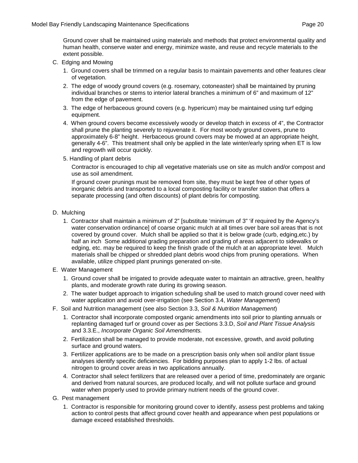Ground cover shall be maintained using materials and methods that protect environmental quality and human health, conserve water and energy, minimize waste, and reuse and recycle materials to the extent possible.

- C. Edging and Mowing
	- 1. Ground covers shall be trimmed on a regular basis to maintain pavements and other features clear of vegetation.
	- 2. The edge of woody ground covers (e.g. rosemary, cotoneaster) shall be maintained by pruning individual branches or stems to interior lateral branches a minimum of 6" and maximum of 12" from the edge of pavement.
	- 3. The edge of herbaceous ground covers (e.g. hypericum) may be maintained using turf edging equipment.
	- 4. When ground covers become excessively woody or develop thatch in excess of 4", the Contractor shall prune the planting severely to rejuvenate it. For most woody ground covers, prune to approximately 6-8" height. Herbaceous ground covers may be mowed at an appropriate height, generally 4-6". This treatment shall only be applied in the late winter/early spring when ET is low and regrowth will occur quickly.
	- 5. Handling of plant debris

Contractor is encouraged to chip all vegetative materials use on site as mulch and/or compost and use as soil amendment.

If ground cover prunings must be removed from site, they must be kept free of other types of inorganic debris and transported to a local composting facility or transfer station that offers a separate processing (and often discounts) of plant debris for composting.

- D. Mulching
	- 1. Contractor shall maintain a minimum of 2" [substitute 'minimum of 3" 'if required by the Agency's water conservation ordinance] of coarse organic mulch at all times over bare soil areas that is not covered by ground cover. Mulch shall be applied so that it is below grade (curb, edging,etc.) by half an inch Some additional grading preparation and grading of areas adjacent to sidewalks or edging, etc. may be required to keep the finish grade of the mulch at an appropriate level. Mulch materials shall be chipped or shredded plant debris wood chips from pruning operations. When available, utilize chipped plant prunings generated on-site.
- E. Water Management
	- 1. Ground cover shall be irrigated to provide adequate water to maintain an attractive, green, healthy plants, and moderate growth rate during its growing season.
	- 2. The water budget approach to irrigation scheduling shall be used to match ground cover need with water application and avoid over-irrigation (see Section 3.4, *Water Management*)
- F. Soil and Nutrition management (see also Section 3.3, *Soil & Nutrition Management*)
	- 1. Contractor shall incorporate composted organic amendments into soil prior to planting annuals or replanting damaged turf or ground cover as per Sections 3.3.D, *Soil and Plant Tissue Analysis*  and 3.3.E., *Incorporate Organic Soil Amendments.*
	- 2. Fertilization shall be managed to provide moderate, not excessive, growth, and avoid polluting surface and ground waters.
	- 3. Fertilizer applications are to be made on a prescription basis only when soil and/or plant tissue analyses identify specific deficiencies. For bidding purposes plan to apply 1-2 lbs. of actual nitrogen to ground cover areas in two applications annually.
	- 4. Contractor shall select fertilizers that are released over a period of time, predominately are organic and derived from natural sources, are produced locally, and will not pollute surface and ground water when properly used to provide primary nutrient needs of the ground cover.
- G. Pest management
	- 1. Contractor is responsible for monitoring ground cover to identify, assess pest problems and taking action to control pests that affect ground cover health and appearance when pest populations or damage exceed established thresholds.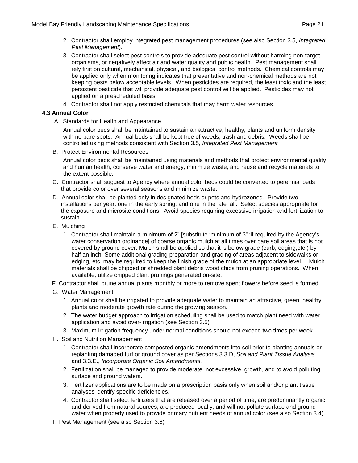- 2. Contractor shall employ integrated pest management procedures (see also Section 3.5, *Integrated Pest Management*).
- 3. Contractor shall select pest controls to provide adequate pest control without harming non-target organisms, or negatively affect air and water quality and public health. Pest management shall rely first on cultural, mechanical, physical, and biological control methods. Chemical controls may be applied only when monitoring indicates that preventative and non-chemical methods are not keeping pests below acceptable levels. When pesticides are required, the least toxic and the least persistent pesticide that will provide adequate pest control will be applied. Pesticides may not applied on a prescheduled basis.
- 4. Contractor shall not apply restricted chemicals that may harm water resources.

#### **4.3 Annual Color**

A. Standards for Health and Appearance

Annual color beds shall be maintained to sustain an attractive, healthy, plants and uniform density with no bare spots. Annual beds shall be kept free of weeds, trash and debris. Weeds shall be controlled using methods consistent with Section 3.5, *Integrated Pest Management.*

B. Protect Environmental Resources

Annual color beds shall be maintained using materials and methods that protect environmental quality and human health, conserve water and energy, minimize waste, and reuse and recycle materials to the extent possible.

- C. Contractor shall suggest to Agency where annual color beds could be converted to perennial beds that provide color over several seasons and minimize waste.
- D. Annual color shall be planted only in designated beds or pots and hydrozoned. Provide two installations per year: one in the early spring, and one in the late fall. Select species appropriate for the exposure and microsite conditions. Avoid species requiring excessive irrigation and fertilization to sustain.
- E. Mulching
	- 1. Contractor shall maintain a minimum of 2" [substitute 'minimum of 3" 'if required by the Agency's water conservation ordinance] of coarse organic mulch at all times over bare soil areas that is not covered by ground cover. Mulch shall be applied so that it is below grade (curb, edging,etc.) by half an inch Some additional grading preparation and grading of areas adjacent to sidewalks or edging, etc. may be required to keep the finish grade of the mulch at an appropriate level. Mulch materials shall be chipped or shredded plant debris wood chips from pruning operations. When available, utilize chipped plant prunings generated on-site.
- F. Contractor shall prune annual plants monthly or more to remove spent flowers before seed is formed.
- G. Water Management
	- 1. Annual color shall be irrigated to provide adequate water to maintain an attractive, green, healthy plants and moderate growth rate during the growing season.
	- 2. The water budget approach to irrigation scheduling shall be used to match plant need with water application and avoid over-irrigation (see Section 3.5)
	- 3. Maximum irrigation frequency under normal conditions should not exceed two times per week.
- H. Soil and Nutrition Management
	- 1. Contractor shall incorporate composted organic amendments into soil prior to planting annuals or replanting damaged turf or ground cover as per Sections 3.3.D, *Soil and Plant Tissue Analysis* and 3.3.E., *Incorporate Organic Soil Amendments.*
	- 2. Fertilization shall be managed to provide moderate, not excessive, growth, and to avoid polluting surface and ground waters.
	- 3. Fertilizer applications are to be made on a prescription basis only when soil and/or plant tissue analyses identify specific deficiencies.
	- 4. Contractor shall select fertilizers that are released over a period of time, are predominantly organic and derived from natural sources, are produced locally, and will not pollute surface and ground water when properly used to provide primary nutrient needs of annual color (see also Section 3.4).
- I. Pest Management (see also Section 3.6)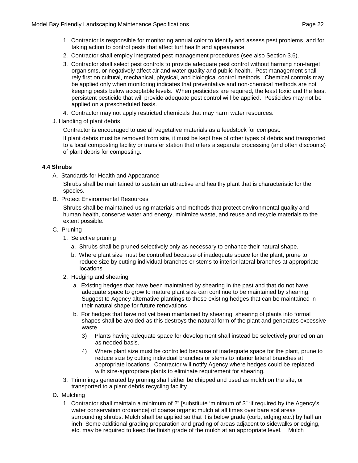- 1. Contractor is responsible for monitoring annual color to identify and assess pest problems, and for taking action to control pests that affect turf health and appearance.
- 2. Contractor shall employ integrated pest management procedures (see also Section 3.6).
- 3. Contractor shall select pest controls to provide adequate pest control without harming non-target organisms, or negatively affect air and water quality and public health. Pest management shall rely first on cultural, mechanical, physical, and biological control methods. Chemical controls may be applied only when monitoring indicates that preventative and non-chemical methods are not keeping pests below acceptable levels. When pesticides are required, the least toxic and the least persistent pesticide that will provide adequate pest control will be applied. Pesticides may not be applied on a prescheduled basis.
- 4. Contractor may not apply restricted chemicals that may harm water resources.
- J. Handling of plant debris

Contractor is encouraged to use all vegetative materials as a feedstock for compost.

If plant debris must be removed from site, it must be kept free of other types of debris and transported to a local composting facility or transfer station that offers a separate processing (and often discounts) of plant debris for composting.

#### **4.4 Shrubs**

A. Standards for Health and Appearance

Shrubs shall be maintained to sustain an attractive and healthy plant that is characteristic for the species.

B. Protect Environmental Resources

Shrubs shall be maintained using materials and methods that protect environmental quality and human health, conserve water and energy, minimize waste, and reuse and recycle materials to the extent possible.

- C. Pruning
	- 1. Selective pruning
		- a. Shrubs shall be pruned selectively only as necessary to enhance their natural shape.
		- b. Where plant size must be controlled because of inadequate space for the plant, prune to reduce size by cutting individual branches or stems to interior lateral branches at appropriate locations
	- 2. Hedging and shearing
		- a. Existing hedges that have been maintained by shearing in the past and that do not have adequate space to grow to mature plant size can continue to be maintained by shearing. Suggest to Agency alternative plantings to these existing hedges that can be maintained in their natural shape for future renovations
		- b. For hedges that have not yet been maintained by shearing: shearing of plants into formal shapes shall be avoided as this destroys the natural form of the plant and generates excessive waste.
			- 3) Plants having adequate space for development shall instead be selectively pruned on an as needed basis.
			- 4) Where plant size must be controlled because of inadequate space for the plant, prune to reduce size by cutting individual branches or stems to interior lateral branches at appropriate locations. Contractor will notify Agency where hedges could be replaced with size-appropriate plants to eliminate requirement for shearing.
	- 3. Trimmings generated by pruning shall either be chipped and used as mulch on the site, or transported to a plant debris recycling facility.
- D. Mulching
	- 1. Contractor shall maintain a minimum of 2" [substitute 'minimum of 3" 'if required by the Agency's water conservation ordinance] of coarse organic mulch at all times over bare soil areas surrounding shrubs. Mulch shall be applied so that it is below grade (curb, edging,etc.) by half an inch Some additional grading preparation and grading of areas adjacent to sidewalks or edging, etc. may be required to keep the finish grade of the mulch at an appropriate level. Mulch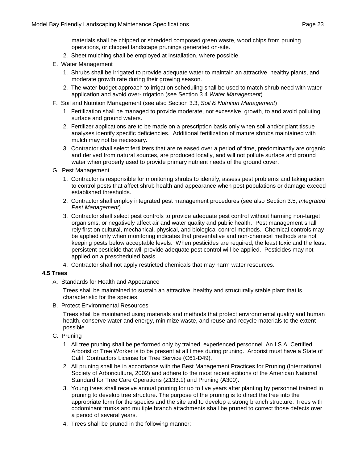materials shall be chipped or shredded composed green waste, wood chips from pruning operations, or chipped landscape prunings generated on-site.

- 2. Sheet mulching shall be employed at installation, where possible.
- E. Water Management
	- 1. Shrubs shall be irrigated to provide adequate water to maintain an attractive, healthy plants, and moderate growth rate during their growing season.
	- 2. The water budget approach to irrigation scheduling shall be used to match shrub need with water application and avoid over-irrigation (see Section 3.4 *Water Management*)
- F. Soil and Nutrition Management (see also Section 3.3, *Soil & Nutrition Management*)
	- 1. Fertilization shall be managed to provide moderate, not excessive, growth, to and avoid polluting surface and ground waters.
	- 2. Fertilizer applications are to be made on a prescription basis only when soil and/or plant tissue analyses identify specific deficiencies. Additional fertilization of mature shrubs maintained with mulch may not be necessary.
	- 3. Contractor shall select fertilizers that are released over a period of time, predominantly are organic and derived from natural sources, are produced locally, and will not pollute surface and ground water when properly used to provide primary nutrient needs of the ground cover.
- G. Pest Management
	- 1. Contractor is responsible for monitoring shrubs to identify, assess pest problems and taking action to control pests that affect shrub health and appearance when pest populations or damage exceed established thresholds.
	- 2. Contractor shall employ integrated pest management procedures (see also Section 3.5, *Integrated Pest Management*).
	- 3. Contractor shall select pest controls to provide adequate pest control without harming non-target organisms, or negatively affect air and water quality and public health. Pest management shall rely first on cultural, mechanical, physical, and biological control methods. Chemical controls may be applied only when monitoring indicates that preventative and non-chemical methods are not keeping pests below acceptable levels. When pesticides are required, the least toxic and the least persistent pesticide that will provide adequate pest control will be applied. Pesticides may not applied on a prescheduled basis.
	- 4. Contractor shall not apply restricted chemicals that may harm water resources.

#### **4.5 Trees**

A. Standards for Health and Appearance

Trees shall be maintained to sustain an attractive, healthy and structurally stable plant that is characteristic for the species.

B. Protect Environmental Resources

Trees shall be maintained using materials and methods that protect environmental quality and human health, conserve water and energy, minimize waste, and reuse and recycle materials to the extent possible.

- C. Pruning
	- 1. All tree pruning shall be performed only by trained, experienced personnel. An I.S.A. Certified Arborist or Tree Worker is to be present at all times during pruning. Arborist must have a State of Calif. Contractors License for Tree Service (C61-D49).
	- 2. All pruning shall be in accordance with the Best Management Practices for Pruning (International Society of Arboriculture, 2002) and adhere to the most recent editions of the American National Standard for Tree Care Operations (Z133.1) and Pruning (A300).
	- 3. Young trees shall receive annual pruning for up to five years after planting by personnel trained in pruning to develop tree structure. The purpose of the pruning is to direct the tree into the appropriate form for the species and the site and to develop a strong branch structure. Trees with codominant trunks and multiple branch attachments shall be pruned to correct those defects over a period of several years.
	- 4. Trees shall be pruned in the following manner: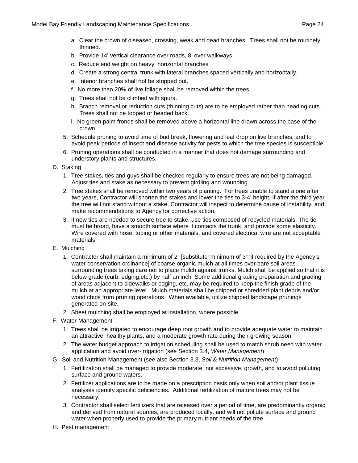- a. Clear the crown of diseased, crossing, weak and dead branches. Trees shall not be routinely thinned.
- b. Provide 14' vertical clearance over roads, 8' over walkways;
- c. Reduce end weight on heavy, horizontal branches
- d. Create a strong central trunk with lateral branches spaced vertically and horizontally.
- e. Interior branches shall not be stripped out.
- f. No more than 20% of live foliage shall be removed within the trees.
- g. Trees shall not be climbed with spurs.
- h. Branch removal or reduction cuts (thinning cuts) are to be employed rather than heading cuts. Trees shall not be topped or headed back.
- i. No green palm fronds shall be removed above a horizontal line drawn across the base of the crown.
- 5. Schedule pruning to avoid time of bud break, flowering and leaf drop on live branches, and to avoid peak periods of insect and disease activity for pests to which the tree species is susceptible.
- 6. Pruning operations shall be conducted in a manner that does not damage surrounding and understory plants and structures.

#### D. Staking

- 1. Tree stakes, ties and guys shall be checked regularly to ensure trees are not being damaged. Adjust ties and stake as necessary to prevent girdling and wounding.
- 2. Tree stakes shall be removed within two years of planting. For trees unable to stand alone after two years, Contractor will shorten the stakes and lower the ties to 3-4' height. If after the third year the tree will not stand without a stake, Contractor will inspect to determine cause of instability, and make recommendations to Agency for corrective action.
- 3. If new ties are needed to secure tree to stake, use ties composed of recycled materials. The tie must be broad, have a smooth surface where it contacts the trunk, and provide some elasticity. Wire covered with hose, tubing or other materials, and covered electrical wire are not acceptable materials.
- E. Mulching
	- 1. Contractor shall maintain a minimum of 2" [substitute 'minimum of 3" 'if required by the Agency's water conservation ordinance] of coarse organic mulch at all times over bare soil areas surrounding trees taking care not to place mulch against trunks. Mulch shall be applied so that it is below grade (curb, edging,etc.) by half an inch Some additional grading preparation and grading of areas adjacent to sidewalks or edging, etc. may be required to keep the finish grade of the mulch at an appropriate level. Mulch materials shall be chipped or shredded plant debris and/or wood chips from pruning operations. When available, utilize chipped landscape prunings generated on-site.
	- 2. Sheet mulching shall be employed at installation, where possible.
- F. Water Management
	- 1. Trees shall be irrigated to encourage deep root growth and to provide adequate water to maintain an attractive, healthy plants, and a moderate growth rate during their growing season.
	- 2. The water budget approach to irrigation scheduling shall be used to match shrub need with water application and avoid over-irrigation (see Section 3.4, *Water Management*)
- G. Soil and Nutrition Management (see also Section 3.3, *Soil & Nutrition Management*)
	- 1. Fertilization shall be managed to provide moderate, not excessive, growth, and to avoid polluting surface and ground waters.
	- 2. Fertilizer applications are to be made on a prescription basis only when soil and/or plant tissue analyses identify specific deficiencies. Additional fertilization of mature trees may not be necessary.
	- 3. Contractor shall select fertilizers that are released over a period of time, are predominantly organic and derived from natural sources, are produced locally, and will not pollute surface and ground water when properly used to provide the primary nutrient needs of the tree.
- H. Pest management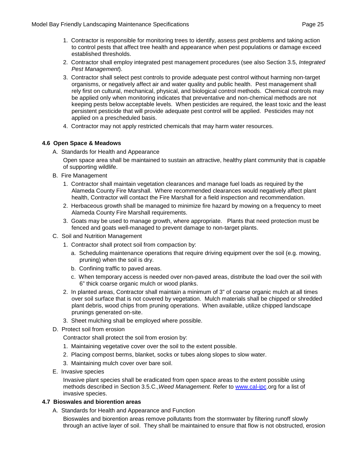- 1. Contractor is responsible for monitoring trees to identify, assess pest problems and taking action to control pests that affect tree health and appearance when pest populations or damage exceed established thresholds.
- 2. Contractor shall employ integrated pest management procedures (see also Section 3.5, *Integrated Pest Management*).
- 3. Contractor shall select pest controls to provide adequate pest control without harming non-target organisms, or negatively affect air and water quality and public health. Pest management shall rely first on cultural, mechanical, physical, and biological control methods. Chemical controls may be applied only when monitoring indicates that preventative and non-chemical methods are not keeping pests below acceptable levels. When pesticides are required, the least toxic and the least persistent pesticide that will provide adequate pest control will be applied. Pesticides may not applied on a prescheduled basis.
- 4. Contractor may not apply restricted chemicals that may harm water resources.

#### **4.6 Open Space & Meadows**

A. Standards for Health and Appearance

Open space area shall be maintained to sustain an attractive, healthy plant community that is capable of supporting wildlife.

- B. Fire Management
	- 1. Contractor shall maintain vegetation clearances and manage fuel loads as required by the Alameda County Fire Marshall. Where recommended clearances would negatively affect plant health, Contractor will contact the Fire Marshall for a field inspection and recommendation.
	- 2. Herbaceous growth shall be managed to minimize fire hazard by mowing on a frequency to meet Alameda County Fire Marshall requirements.
	- 3. Goats may be used to manage growth, where appropriate. Plants that need protection must be fenced and goats well-managed to prevent damage to non-target plants.
- C. Soil and Nutrition Management
	- 1. Contractor shall protect soil from compaction by:
		- a. Scheduling maintenance operations that require driving equipment over the soil (e.g. mowing, pruning) when the soil is dry.
		- b. Confining traffic to paved areas.
		- c. When temporary access is needed over non-paved areas, distribute the load over the soil with 6" thick coarse organic mulch or wood planks.
	- 2. In planted areas, Contractor shall maintain a minimum of 3" of coarse organic mulch at all times over soil surface that is not covered by vegetation. Mulch materials shall be chipped or shredded plant debris, wood chips from pruning operations. When available, utilize chipped landscape prunings generated on-site.
	- 3. Sheet mulching shall be employed where possible.
- D. Protect soil from erosion

Contractor shall protect the soil from erosion by:

- 1. Maintaining vegetative cover over the soil to the extent possible.
- 2. Placing compost berms, blanket, socks or tubes along slopes to slow water.
- 3. Maintaining mulch cover over bare soil.
- E. Invasive species

Invasive plant species shall be eradicated from open space areas to the extent possible using methods described in Section 3.5.C.,*Weed Management.* Refer to [www.cal-ipc.](http://www.cal-ipc/)org for a list of invasive species.

#### **4.7 Bioswales and biorention areas**

A. Standards for Health and Appearance and Function

Bioswales and biorention areas remove pollutants from the stormwater by filtering runoff slowly through an active layer of soil. They shall be maintained to ensure that flow is not obstructed, erosion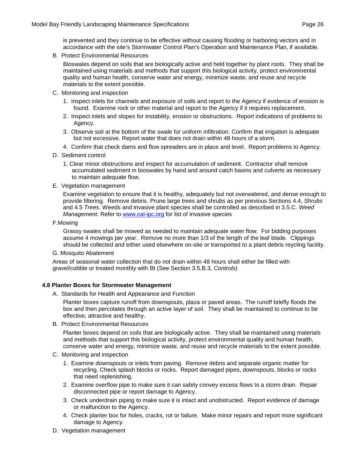is prevented and they continue to be effective without causing flooding or harboring vectors and in accordance with the site's Stormwater Control Plan's Operation and Maintenance Plan, if available.

B. Protect Environmental Resources

Bioswales depend on soils that are biologically active and held together by plant roots. They shall be maintained using materials and methods that support this biological activity, protect environmental quality and human health, conserve water and energy, minimize waste, and reuse and recycle materials to the extent possible.

- C. Monitoring and inspection
	- 1. Inspect inlets for channels and exposure of soils and report to the Agency if evidence of erosion is found. Examine rock or other material and report to the Agency if it requires replacement.
	- 2. Inspect inlets and slopes for instability, erosion or obstructions. Report indications of problems to Agency.
	- 3. Observe soil at the bottom of the swale for uniform infiltration. Confirm that irrigation is adequate but not excessive. Report water that does not drain within 48 hours of a storm.
	- 4. Confirm that check dams and flow spreaders are in place and level. Report problems to Agency.
- D. Sediment control
	- 1. Clear minor obstructions and inspect for accumulation of sediment. Contractor shall remove accumulated sediment in bioswales by hand and around catch basins and culverts as necessary to maintain adequate flow.
- E. Vegetation management

Examine vegetation to ensure that it is healthy, adequately but not overwatered, and dense enough to provide filtering. Remove debris. Prune large trees and shrubs as per previous Sections 4.4, *Shrubs*  and 4.5 *Trees*. Weeds and invasive plant species shall be controlled as described in 3.5.C. *Weed Management.* Refer to [www.cal-ipc.org](http://www.cal-ipc.org/) for list of invasive species

F.Mowing

Grassy swales shall be mowed as needed to maintain adequate water flow. For bidding purposes assume 4 mowings per year. Remove no more than 1/3 of the length of the leaf blade. Clippings should be collected and either used elsewhere on-site or transported to a plant debris reycling facility.

G. Mosquito Abatement

Areas of seasonal water collection that do not drain within 48 hours shall either be filled with gravel/cobble or treated monthly with Bt (See Section 3.5.B.3, *Controls*)

#### **4.8 Planter Boxes for Stormwater Management**

A. Standards for Health and Appearance and Function

Planter boxes capture runoff from downspouts, plaza or paved areas. The runoff briefly floods the box and then percolates through an active layer of soil. They shall be maintained to continue to be effective, attractive and healthy.

B. Protect Environmental Resources

Planter boxes depend on soils that are biologically active. They shall be maintained using materials and methods that support this biological activity, protect environmental quality and human health, conserve water and energy, minimize waste, and reuse and recycle materials to the extent possible.

- C. Monitoring and inspection
	- 1. Examine downspouts or inlets from paving. Remove debris and separate organic matter for recycling. Check splash blocks or rocks. Report damaged pipes, downspouts, blocks or rocks that need replenishing.
	- 2. Examine overflow pipe to make sure it can safely convey excess flows to a storm drain. Repair disconnected pipe or report damage to Agency.
	- 3. Check underdrain piping to make sure it is intact and unobstructed. Report evidence of damage or malfunction to the Agency.
	- 4. Check planter box for holes, cracks, rot or failure. Make minor repairs and report more significant damage to Agency.
- D. Vegetation management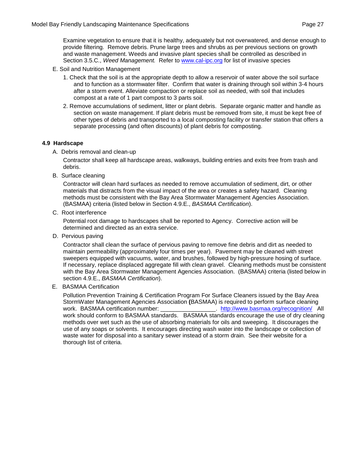Examine vegetation to ensure that it is healthy, adequately but not overwatered, and dense enough to provide filtering. Remove debris. Prune large trees and shrubs as per previous sections on growth and waste management. Weeds and invasive plant species shall be controlled as described in Section 3.5.C., *Weed Management.* Refer to [www.cal-ipc.org](http://www.cal-ipc.org/) for list of invasive species

- E. Soil and Nutrition Management
	- 1. Check that the soil is at the appropriate depth to allow a reservoir of water above the soil surface and to function as a stormwater filter. Confirm that water is draining through soil within 3-4 hours after a storm event. Alleviate compaction or replace soil as needed, with soil that includes compost at a rate of 1 part compost to 3 parts soil.
	- 2. Remove accumulations of sediment, litter or plant debris. Separate organic matter and handle as section on waste management. If plant debris must be removed from site, it must be kept free of other types of debris and transported to a local composting facility or transfer station that offers a separate processing (and often discounts) of plant debris for composting.

#### **4.9 Hardscape**

A. Debris removal and clean-up

Contractor shall keep all hardscape areas, walkways, building entries and exits free from trash and debris.

B. Surface cleaning

Contractor will clean hard surfaces as needed to remove accumulation of sediment, dirt, or other materials that distracts from the visual impact of the area or creates a safety hazard. Cleaning methods must be consistent with the Bay Area Stormwater Management Agencies Association. (BASMAA) criteria (listed below in Section 4.9.E., *BASMAA Certification*).

C. Root interference

Potential root damage to hardscapes shall be reported to Agency. Corrective action will be determined and directed as an extra service.

D. Pervious paving

Contractor shall clean the surface of pervious paving to remove fine debris and dirt as needed to maintain permeability (approximately four times per year). Pavement may be cleaned with street sweepers equipped with vacuums, water, and brushes, followed by high-pressure hosing of surface. If necessary, replace displaced aggregate fill with clean gravel. Cleaning methods must be consistent with the Bay Area Stormwater Management Agencies Association. (BASMAA) criteria (listed below in section 4.9.E., *BASMAA Certification*).

E. BASMAA Certification

Pollution Prevention Training & Certification Program For Surface Cleaners issued by the Bay Area StormWater Management Agencies Association **(**BASMAA) is required to perform surface cleaning . <http://www.basmaa.org/recognition/>All work should conform to BASMAA standards. BASMAA standards encourage the use of dry cleaning methods over wet such as the use of absorbing materials for oils and sweeping. It discourages the use of any soaps or solvents. It encourages directing wash water into the landscape or collection of waste water for disposal into a sanitary sewer instead of a storm drain. See their website for a thorough list of criteria.